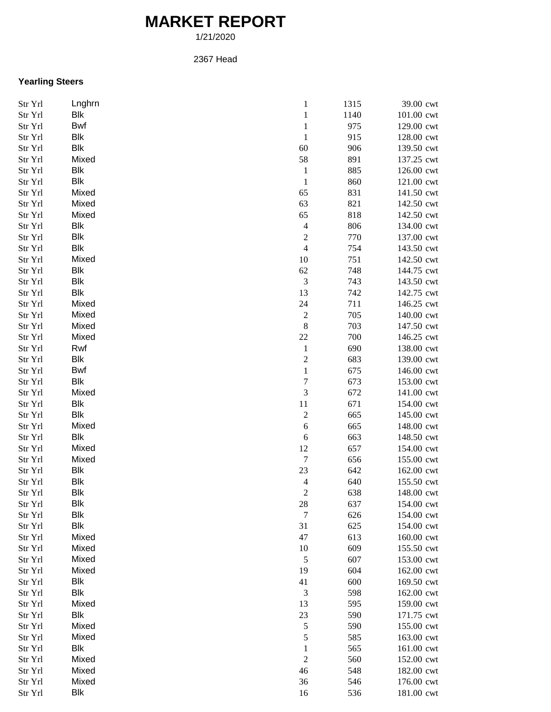## **MARKET REPORT**

1/21/2020

## 2367 Head

## **Yearling Steers**

| Str Yrl | Lnghrn     | $\,1\,$          | 1315 | 39.00 cwt  |
|---------|------------|------------------|------|------------|
| Str Yrl | Blk        | $\,1\,$          | 1140 | 101.00 cwt |
| Str Yrl | <b>Bwf</b> | $\,1$            | 975  | 129.00 cwt |
| Str Yrl | Blk        | $\,1\,$          | 915  | 128.00 cwt |
| Str Yrl | Blk        | 60               | 906  | 139.50 cwt |
| Str Yrl | Mixed      | 58               | 891  | 137.25 cwt |
| Str Yrl | Blk        | $\mathbf{1}$     | 885  | 126.00 cwt |
| Str Yrl | Blk        | $\,1\,$          | 860  | 121.00 cwt |
| Str Yrl | Mixed      | 65               | 831  | 141.50 cwt |
| Str Yrl | Mixed      | 63               | 821  | 142.50 cwt |
| Str Yrl | Mixed      | 65               | 818  | 142.50 cwt |
| Str Yrl | Blk        | $\overline{4}$   | 806  | 134.00 cwt |
| Str Yrl | Blk        | $\boldsymbol{2}$ | 770  | 137.00 cwt |
| Str Yrl | Blk        | $\overline{4}$   | 754  | 143.50 cwt |
| Str Yrl | Mixed      | 10               | 751  | 142.50 cwt |
| Str Yrl | Blk        | 62               | 748  | 144.75 cwt |
| Str Yrl | Blk        | $\mathfrak{Z}$   | 743  | 143.50 cwt |
|         | Blk        |                  |      |            |
| Str Yrl |            | 13               | 742  | 142.75 cwt |
| Str Yrl | Mixed      | 24               | 711  | 146.25 cwt |
| Str Yrl | Mixed      | $\overline{c}$   | 705  | 140.00 cwt |
| Str Yrl | Mixed      | $\,$ 8 $\,$      | 703  | 147.50 cwt |
| Str Yrl | Mixed      | $22\,$           | 700  | 146.25 cwt |
| Str Yrl | Rwf        | $\,1$            | 690  | 138.00 cwt |
| Str Yrl | Blk        | $\overline{c}$   | 683  | 139.00 cwt |
| Str Yrl | Bwf        | $\,1$            | 675  | 146.00 cwt |
| Str Yrl | Blk        | 7                | 673  | 153.00 cwt |
| Str Yrl | Mixed      | 3                | 672  | 141.00 cwt |
| Str Yrl | Blk        | $11\,$           | 671  | 154.00 cwt |
| Str Yrl | Blk        | $\overline{c}$   | 665  | 145.00 cwt |
| Str Yrl | Mixed      | 6                | 665  | 148.00 cwt |
| Str Yrl | Blk        | $\sqrt{6}$       | 663  | 148.50 cwt |
| Str Yrl | Mixed      | 12               | 657  | 154.00 cwt |
| Str Yrl | Mixed      | $\boldsymbol{7}$ | 656  | 155.00 cwt |
| Str Yrl | Blk        | 23               | 642  | 162.00 cwt |
| Str Yrl | <b>Blk</b> | $\overline{4}$   | 640  | 155.50 cwt |
| Str Yrl | Blk        | $\overline{c}$   | 638  | 148.00 cwt |
| Str Yrl | <b>Blk</b> | 28               | 637  | 154.00 cwt |
| Str Yrl | Blk        | $\tau$           | 626  | 154.00 cwt |
| Str Yrl | Blk        | 31               | 625  | 154.00 cwt |
| Str Yrl | Mixed      | 47               | 613  | 160.00 cwt |
| Str Yrl | Mixed      | 10               | 609  | 155.50 cwt |
| Str Yrl | Mixed      | $\sqrt{5}$       | 607  | 153.00 cwt |
| Str Yrl | Mixed      | 19               | 604  | 162.00 cwt |
| Str Yrl | Blk        | 41               | 600  | 169.50 cwt |
| Str Yrl | Blk        | 3                | 598  | 162.00 cwt |
| Str Yrl | Mixed      | 13               | 595  | 159.00 cwt |
| Str Yrl | Blk        | 23               | 590  | 171.75 cwt |
| Str Yrl | Mixed      | $\sqrt{5}$       | 590  | 155.00 cwt |
| Str Yrl | Mixed      | 5                | 585  | 163.00 cwt |
| Str Yrl | Blk        | $\mathbf{1}$     | 565  | 161.00 cwt |
| Str Yrl | Mixed      | $\sqrt{2}$       | 560  | 152.00 cwt |
| Str Yrl | Mixed      | 46               | 548  | 182.00 cwt |
| Str Yrl | Mixed      | 36               | 546  | 176.00 cwt |
| Str Yrl | Blk        | 16               | 536  | 181.00 cwt |
|         |            |                  |      |            |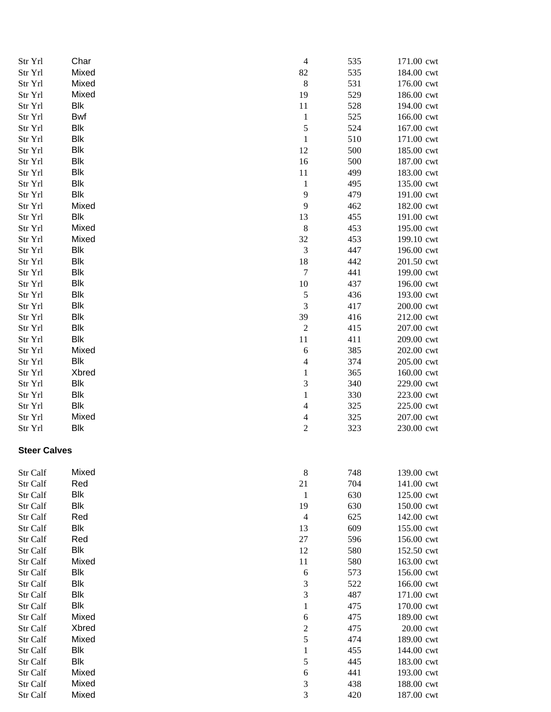| Str Yrl             | Char       | $\overline{4}$           | 535 | 171.00 cwt |
|---------------------|------------|--------------------------|-----|------------|
| Str Yrl             | Mixed      | 82                       | 535 | 184.00 cwt |
| Str Yrl             | Mixed      | $\,8\,$                  | 531 | 176.00 cwt |
| Str Yrl             | Mixed      | 19                       | 529 | 186.00 cwt |
| Str Yrl             | Blk        | 11                       | 528 | 194.00 cwt |
| Str Yrl             | <b>Bwf</b> | $\mathbf{1}$             | 525 | 166.00 cwt |
| Str Yrl             | Blk        | 5                        | 524 | 167.00 cwt |
| Str Yrl             | Blk        | $\mathbf{1}$             | 510 | 171.00 cwt |
| Str Yrl             | Blk        | 12                       | 500 | 185.00 cwt |
| Str Yrl             | Blk        | 16                       | 500 | 187.00 cwt |
| Str Yrl             | Blk        | 11                       | 499 | 183.00 cwt |
| Str Yrl             | Blk        | $\mathbf{1}$             | 495 | 135.00 cwt |
| Str Yrl             | Blk        | 9                        | 479 | 191.00 cwt |
| Str Yrl             | Mixed      | 9                        | 462 | 182.00 cwt |
| Str Yrl             | Blk        | 13                       | 455 | 191.00 cwt |
| Str Yrl             | Mixed      | $\,8\,$                  | 453 | 195.00 cwt |
| Str Yrl             | Mixed      | 32                       | 453 | 199.10 cwt |
| Str Yrl             | Blk        | 3                        | 447 | 196.00 cwt |
| Str Yrl             | <b>Blk</b> | 18                       | 442 | 201.50 cwt |
| Str Yrl             | Blk        | 7                        | 441 | 199.00 cwt |
| Str Yrl             | <b>Blk</b> | 10                       | 437 | 196.00 cwt |
| Str Yrl             | Blk        | 5                        | 436 | 193.00 cwt |
| Str Yrl             | Blk        | 3                        | 417 | 200.00 cwt |
| Str Yrl             | <b>Blk</b> | 39                       | 416 | 212.00 cwt |
| Str Yrl             | Blk        | $\boldsymbol{2}$         | 415 | 207.00 cwt |
| Str Yrl             | Blk        | 11                       | 411 | 209.00 cwt |
| Str Yrl             | Mixed      | 6                        | 385 | 202.00 cwt |
| Str Yrl             | Blk        | $\overline{\mathcal{L}}$ | 374 | 205.00 cwt |
| Str Yrl             | Xbred      | $\mathbf{1}$             | 365 | 160.00 cwt |
| Str Yrl             | Blk        | 3                        | 340 | 229.00 cwt |
| Str Yrl             | Blk        | $\mathbf{1}$             | 330 | 223.00 cwt |
| Str Yrl             | Blk        | $\overline{4}$           | 325 | 225.00 cwt |
| Str Yrl             | Mixed      | $\overline{4}$           | 325 | 207.00 cwt |
| Str Yrl             | Blk        | $\overline{c}$           | 323 | 230.00 cwt |
| <b>Steer Calves</b> |            |                          |     |            |
| Str Calf            | Mixed      | 8                        | 748 | 139.00 cwt |
| Str Calf            | Red        | 21                       | 704 | 141.00 cwt |
| Str Calf            | Blk        | $\mathbf{1}$             | 630 | 125.00 cwt |
| Str Calf            | Blk        | 19                       | 630 | 150.00 cwt |
| Str Calf            | Red        | 4                        | 625 | 142.00 cwt |
| Str Calf            | Blk        | 13                       | 609 | 155.00 cwt |
| Str Calf            | Red        | $27\,$                   | 596 | 156.00 cwt |
| Str Calf            | <b>Blk</b> | 12                       | 580 | 152.50 cwt |
| Str Calf            | Mixed      | 11                       | 580 | 163.00 cwt |
| Str Calf            | Blk        | 6                        | 573 | 156.00 cwt |
| Str Calf            | <b>Blk</b> | 3                        | 522 | 166.00 cwt |
| Str Calf            | <b>Blk</b> | 3                        | 487 | 171.00 cwt |
| Str Calf            | <b>Blk</b> | $\mathbf{1}$             | 475 | 170.00 cwt |
| Str Calf            | Mixed      | 6                        | 475 | 189.00 cwt |
| Str Calf            | Xbred      | $\overline{2}$           | 475 | 20.00 cwt  |
| Str Calf            | Mixed      | 5                        | 474 | 189.00 cwt |
| Str Calf            | Blk        | 1                        | 455 | 144.00 cwt |
| Str Calf            | Blk        | 5                        | 445 | 183.00 cwt |
| Str Calf            | Mixed      | 6                        | 441 | 193.00 cwt |
| Str Calf            | Mixed      | 3                        | 438 | 188.00 cwt |
| Str Calf            | Mixed      | 3                        | 420 | 187.00 cwt |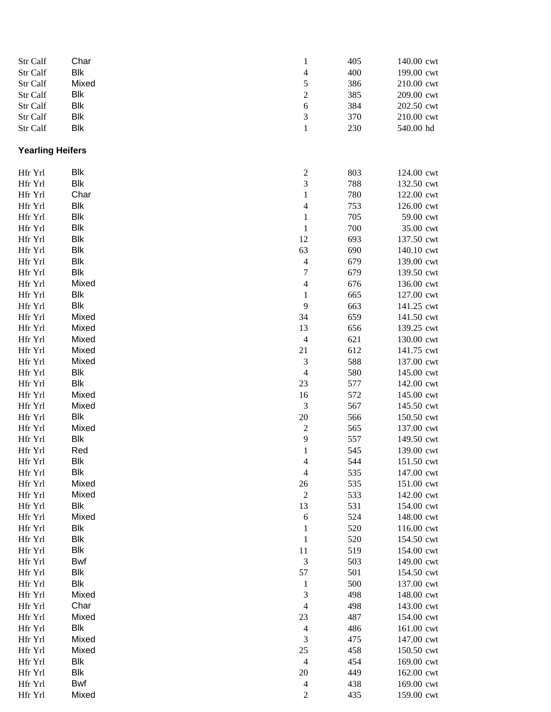| Str Calf                | Char       | $\mathbf{1}$             | 405 | 140.00 cwt |
|-------------------------|------------|--------------------------|-----|------------|
| Str Calf                | <b>Blk</b> | $\overline{\mathcal{L}}$ | 400 | 199.00 cwt |
| Str Calf                | Mixed      | 5                        | 386 | 210.00 cwt |
| Str Calf                | Blk        | $\overline{c}$           | 385 | 209.00 cwt |
| Str Calf                | <b>Blk</b> | $\sqrt{6}$               | 384 | 202.50 cwt |
| Str Calf                | <b>Blk</b> | 3                        | 370 | 210.00 cwt |
| Str Calf                | <b>Blk</b> | $\mathbf{1}$             | 230 | 540.00 hd  |
|                         |            |                          |     |            |
| <b>Yearling Heifers</b> |            |                          |     |            |
| Hfr Yrl                 | <b>Blk</b> | $\overline{\mathbf{c}}$  | 803 | 124.00 cwt |
| Hfr Yrl                 | <b>Blk</b> | 3                        | 788 | 132.50 cwt |
| Hfr Yrl                 | Char       | $\mathbf{1}$             | 780 | 122.00 cwt |
| Hfr Yrl                 | <b>Blk</b> | $\overline{\mathcal{L}}$ | 753 | 126.00 cwt |
| Hfr Yrl                 | <b>Blk</b> | $\mathbf{1}$             | 705 | 59.00 cwt  |
| Hfr Yrl                 | <b>Blk</b> | $\,1$                    | 700 | 35.00 cwt  |
| Hfr Yrl                 | <b>Blk</b> | 12                       | 693 | 137.50 cwt |
| Hfr Yrl                 | <b>Blk</b> | 63                       | 690 | 140.10 cwt |
| Hfr Yrl                 | <b>Blk</b> | $\overline{\mathcal{L}}$ | 679 | 139.00 cwt |
| Hfr Yrl                 | <b>Blk</b> | 7                        | 679 | 139.50 cwt |
| Hfr Yrl                 | Mixed      | 4                        | 676 | 136.00 cwt |
| Hfr Yrl                 | <b>Blk</b> | $\mathbf{1}$             | 665 | 127.00 cwt |
| Hfr Yrl                 | <b>Blk</b> | 9                        | 663 | 141.25 cwt |
| Hfr Yrl                 | Mixed      | 34                       | 659 | 141.50 cwt |
| Hfr Yrl                 | Mixed      | 13                       | 656 | 139.25 cwt |
| Hfr Yrl                 | Mixed      | $\overline{4}$           | 621 | 130.00 cwt |
| Hfr Yrl                 | Mixed      | 21                       | 612 | 141.75 cwt |
| Hfr Yrl                 | Mixed      | 3                        | 588 | 137.00 cwt |
| Hfr Yrl                 | <b>Blk</b> | $\overline{4}$           | 580 | 145.00 cwt |
| Hfr Yrl                 | <b>Blk</b> | 23                       | 577 | 142.00 cwt |
| Hfr Yrl                 | Mixed      | 16                       | 572 | 145.00 cwt |
| Hfr Yrl                 | Mixed      | 3                        | 567 | 145.50 cwt |
| Hfr Yrl                 | <b>Blk</b> | 20                       | 566 | 150.50 cwt |
| Hfr Yrl                 | Mixed      | $\overline{\mathbf{c}}$  | 565 | 137.00 cwt |
| Hfr Yrl                 | <b>Blk</b> | 9                        | 557 | 149.50 cwt |
| Hfr Yrl                 | Red        | 1                        | 545 | 139.00 cwt |
| Hfr Yrl                 | Blk        | $\overline{\mathcal{A}}$ | 544 | 151.50 cwt |
| Hfr Yrl                 | <b>Blk</b> | 4                        | 535 | 147.00 cwt |
| Hfr Yrl                 | Mixed      | 26                       | 535 | 151.00 cwt |
| Hfr Yrl                 | Mixed      | $\overline{c}$           | 533 | 142.00 cwt |
| Hfr Yrl                 | Blk        | 13                       | 531 | 154.00 cwt |
| Hfr Yrl                 | Mixed      | $\sqrt{6}$               | 524 | 148.00 cwt |
| Hfr Yrl                 | Blk        | 1                        | 520 | 116.00 cwt |
| Hfr Yrl                 | <b>Blk</b> | $\mathbf{1}$             | 520 | 154.50 cwt |
| Hfr Yrl                 | Blk        | $11\,$                   | 519 | 154.00 cwt |
| Hfr Yrl                 | Bwf        | 3                        | 503 | 149.00 cwt |
| Hfr Yrl                 | Blk        | 57                       | 501 | 154.50 cwt |
| Hfr Yrl                 | <b>Blk</b> | $\mathbf{1}$             | 500 | 137.00 cwt |
| Hfr Yrl                 | Mixed      | 3                        | 498 | 148.00 cwt |
| Hfr Yrl                 | Char       | $\overline{4}$           | 498 | 143.00 cwt |
| Hfr Yrl                 | Mixed      | 23                       | 487 | 154.00 cwt |
| Hfr Yrl                 | Blk        | $\overline{\mathcal{A}}$ | 486 | 161.00 cwt |
| Hfr Yrl                 | Mixed      | 3                        | 475 | 147.00 cwt |
| Hfr Yrl                 | Mixed      | 25                       | 458 | 150.50 cwt |
| Hfr Yrl                 | Blk        | $\overline{4}$           | 454 | 169.00 cwt |
| Hfr Yrl                 | Blk        | 20                       | 449 | 162.00 cwt |
| Hfr Yrl                 | Bwf        | 4                        | 438 | 169.00 cwt |
| Hfr Yrl                 | Mixed      | $\overline{c}$           | 435 | 159.00 cwt |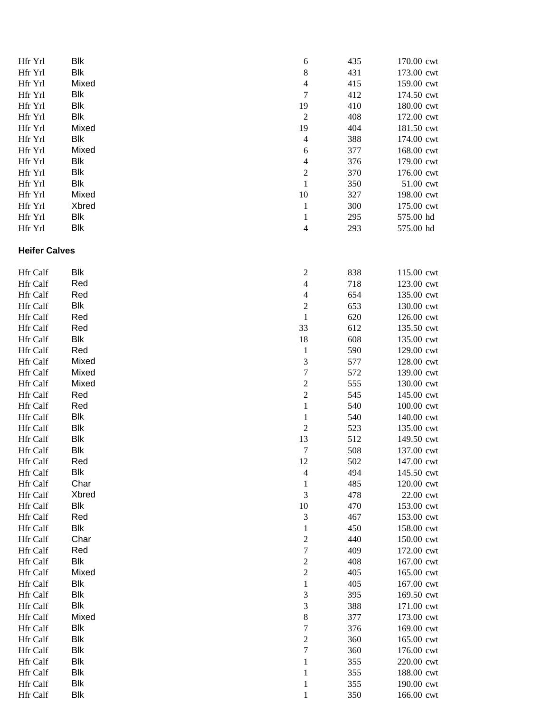| Hfr Yrl              | Blk        | 6                       | 435 | 170.00 cwt |
|----------------------|------------|-------------------------|-----|------------|
| Hfr Yrl              | Blk        | $\,8\,$                 | 431 | 173.00 cwt |
| Hfr Yrl              | Mixed      | $\overline{4}$          | 415 | 159.00 cwt |
| Hfr Yrl              | Blk        | 7                       | 412 | 174.50 cwt |
| Hfr Yrl              | Blk        | 19                      | 410 | 180.00 cwt |
| Hfr Yrl              | Blk        | $\sqrt{2}$              | 408 | 172.00 cwt |
| Hfr Yrl              | Mixed      | 19                      | 404 | 181.50 cwt |
| Hfr Yrl              | Blk        | 4                       | 388 | 174.00 cwt |
| Hfr Yrl              | Mixed      | 6                       | 377 | 168.00 cwt |
| Hfr Yrl              | Blk        | 4                       | 376 | 179.00 cwt |
| Hfr Yrl              | Blk        | $\overline{c}$          | 370 | 176.00 cwt |
| Hfr Yrl              | Blk        | $\mathbf{1}$            | 350 | 51.00 cwt  |
| Hfr Yrl              | Mixed      | 10                      | 327 | 198.00 cwt |
| Hfr Yrl              | Xbred      | $\mathbf{1}$            | 300 | 175.00 cwt |
| Hfr Yrl              | Blk        | $\mathbf{1}$            | 295 | 575.00 hd  |
| Hfr Yrl              | Blk        | 4                       | 293 | 575.00 hd  |
| <b>Heifer Calves</b> |            |                         |     |            |
| <b>Hfr Calf</b>      | Blk        | $\overline{\mathbf{c}}$ | 838 | 115.00 cwt |
| Hfr Calf             | Red        | 4                       | 718 | 123.00 cwt |
| Hfr Calf             | Red        | 4                       | 654 | 135.00 cwt |
| Hfr Calf             | Blk        | $\overline{c}$          | 653 | 130.00 cwt |
| Hfr Calf             | Red        | $\mathbf{1}$            | 620 | 126.00 cwt |
| Hfr Calf             | Red        | 33                      | 612 | 135.50 cwt |
| Hfr Calf             | Blk        | 18                      | 608 | 135.00 cwt |
| Hfr Calf             | Red        | $\mathbf{1}$            | 590 | 129.00 cwt |
| Hfr Calf             | Mixed      | 3                       | 577 | 128.00 cwt |
| Hfr Calf             | Mixed      | $\overline{7}$          | 572 | 139.00 cwt |
| Hfr Calf             | Mixed      | $\overline{c}$          | 555 | 130.00 cwt |
| Hfr Calf             | Red        | $\overline{c}$          | 545 | 145.00 cwt |
| Hfr Calf             | Red        | $\mathbf{1}$            | 540 | 100.00 cwt |
| Hfr Calf             | Blk        | $\mathbf{1}$            | 540 | 140.00 cwt |
| Hfr Calf             | <b>Blk</b> | $\overline{c}$          | 523 | 135.00 cwt |
| Hfr Calf             | <b>Blk</b> | 13                      | 512 | 149.50 cwt |
| Hfr Calf             | Blk        | $\boldsymbol{7}$        | 508 | 137.00 cwt |
| Hfr Calf             | Red        | 12                      | 502 | 147.00 cwt |
| Hfr Calf             | Blk        | 4                       | 494 | 145.50 cwt |
| Hfr Calf             | Char       | 1                       | 485 | 120.00 cwt |
| <b>Hfr Calf</b>      | Xbred      | 3                       | 478 | 22.00 cwt  |
| Hfr Calf             | Blk        | 10                      | 470 | 153.00 cwt |
| Hfr Calf             | Red        | 3                       | 467 | 153.00 cwt |
| Hfr Calf             | Blk        | 1                       | 450 | 158.00 cwt |
| Hfr Calf             | Char       | $\overline{c}$          | 440 | 150.00 cwt |
| Hfr Calf             | Red        | 7                       | 409 | 172.00 cwt |
| Hfr Calf             | <b>Blk</b> | $\overline{c}$          | 408 | 167.00 cwt |
| Hfr Calf             | Mixed      | $\overline{c}$          | 405 | 165.00 cwt |
| Hfr Calf             | Blk        | 1                       | 405 | 167.00 cwt |
| Hfr Calf             | Blk        | 3                       | 395 | 169.50 cwt |
| Hfr Calf             | Blk        | 3                       | 388 | 171.00 cwt |
| Hfr Calf             | Mixed      | $\,$ 8 $\,$             | 377 | 173.00 cwt |
| Hfr Calf             | Blk        | $\overline{7}$          | 376 | 169.00 cwt |
| Hfr Calf             | Blk        | $\overline{c}$          | 360 | 165.00 cwt |
| Hfr Calf             | Blk        | $\boldsymbol{7}$        | 360 | 176.00 cwt |
| Hfr Calf             | Blk        | 1                       | 355 | 220.00 cwt |
| Hfr Calf             | Blk        | $\mathbf{1}$            | 355 | 188.00 cwt |
| Hfr Calf             | Blk        | 1                       | 355 | 190.00 cwt |
| Hfr Calf             | Blk        | $\mathbf{1}$            | 350 | 166.00 cwt |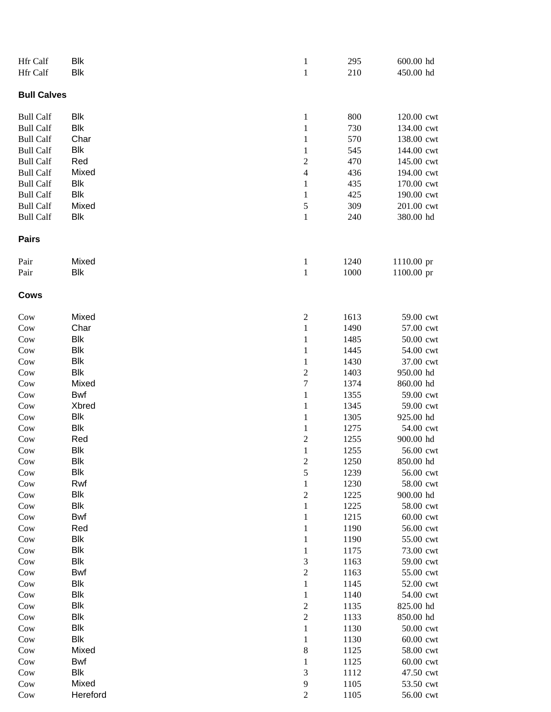| <b>Bull Calves</b><br><b>Blk</b><br>800<br><b>Bull Calf</b><br>$\mathbf{1}$<br><b>Blk</b><br>$\mathbf{1}$<br>730<br><b>Bull Calf</b><br>Char<br>570<br><b>Bull Calf</b><br>$\mathbf{1}$<br>138.00 cwt<br><b>Blk</b><br>545<br><b>Bull Calf</b><br>144.00 cwt<br>1<br>470<br>$\boldsymbol{2}$<br><b>Bull Calf</b><br>Red<br>145.00 cwt<br>Mixed<br>436<br><b>Bull Calf</b><br>$\overline{4}$<br>194.00 cwt<br>Blk<br>435<br><b>Bull Calf</b><br>170.00 cwt<br>1<br>Blk<br>425<br>190.00 cwt<br><b>Bull Calf</b><br>1<br>309<br><b>Bull Calf</b><br>Mixed<br>$\mathfrak{S}$<br>201.00 cwt<br><b>Blk</b><br><b>Bull Calf</b><br>240<br>380.00 hd<br>1<br>Pairs<br>Mixed<br>1110.00 pr<br>Pair<br>$\mathbf{1}$<br>1240<br><b>Blk</b><br>$\mathbf{1}$<br>1000<br>1100.00 pr<br>Pair<br>Cows<br>Mixed<br>$_{\text{Cow}}$<br>$\overline{c}$<br>1613<br>Char<br>$_{\text{Cow}}$<br>$\mathbf{1}$<br>1490<br>57.00 cwt<br>Blk<br>Cow<br>$\mathbf{1}$<br>1485<br>50.00 cwt<br>Blk<br>Cow<br>1445<br>54.00 cwt<br>1<br>Blk<br>Cow<br>1430<br>37.00 cwt<br>1<br>Blk<br>$\boldsymbol{2}$<br>Cow<br>1403<br>950.00 hd<br>$_{\text{Cow}}$<br>Mixed<br>$\tau$<br>860.00 hd<br>1374<br><b>Bwf</b><br>Cow<br>1355<br>59.00 cwt<br>1<br>Xbred<br>Cow<br>1345<br>59.00 cwt<br>1<br>Blk<br>925.00 hd<br>Cow<br>1305<br>1<br>Blk<br>Cow<br>1275<br>1<br>$\boldsymbol{2}$<br>900.00 hd<br>Red<br>1255<br>Cow<br>Blk<br>$\mathbf{1}$<br>1255<br>56.00 cwt<br>Cow<br>Blk<br>$\boldsymbol{2}$<br>1250<br>Cow<br>850.00 hd<br>5<br>Blk<br>Cow<br>1239<br>56.00 cwt<br>Rwf<br>1230<br>58.00 cwt<br>Cow<br>1<br><b>Blk</b><br>$_{\text{Cow}}$<br>$\overline{c}$<br>1225<br>900.00 hd<br><b>Blk</b><br>1225<br>58.00 cwt<br>Cow<br>$\mathbf{1}$<br>Cow<br><b>Bwf</b><br>1215<br>$60.00$ cwt<br>1<br>$_{\text{Cow}}$<br>Red<br>1190<br>56.00 cwt<br>1<br>Blk<br>55.00 cwt<br>Cow<br>1190<br>1<br>Cow<br>Blk<br>1175<br>1<br>$_{\text{Cow}}$<br><b>Blk</b><br>3<br>1163<br><b>Bwf</b><br>$\boldsymbol{2}$<br>Cow<br>1163<br><b>Blk</b><br>Cow<br>1<br>1145<br><b>Blk</b><br>54.00 cwt<br>Cow<br>1140<br>1<br><b>Blk</b><br>$_{\text{Cow}}$<br>$\overline{\mathbf{c}}$<br>825.00 hd<br>1135<br><b>Blk</b><br>$\boldsymbol{2}$<br>850.00 hd<br>$_{\text{Cow}}$<br>1133<br><b>Blk</b><br>$\mathbf{1}$<br>50.00 cwt<br>Cow<br>1130<br><b>Blk</b><br>Cow<br>60.00 cwt<br>1<br>1130<br>Cow<br>Mixed<br>8<br>1125<br>58.00 cwt<br><b>Bwf</b><br>1125<br>60.00 cwt<br>Cow<br>1<br>Blk<br>$\mathfrak{Z}$<br>1112<br>47.50 cwt<br>Cow<br>Mixed<br>$\overline{9}$<br>Cow<br>1105<br>Hereford<br>$\sqrt{2}$<br>1105<br>Cow | Hfr Calf | Blk        | $\mathbf{1}$ | 295 | 600.00 hd  |
|-------------------------------------------------------------------------------------------------------------------------------------------------------------------------------------------------------------------------------------------------------------------------------------------------------------------------------------------------------------------------------------------------------------------------------------------------------------------------------------------------------------------------------------------------------------------------------------------------------------------------------------------------------------------------------------------------------------------------------------------------------------------------------------------------------------------------------------------------------------------------------------------------------------------------------------------------------------------------------------------------------------------------------------------------------------------------------------------------------------------------------------------------------------------------------------------------------------------------------------------------------------------------------------------------------------------------------------------------------------------------------------------------------------------------------------------------------------------------------------------------------------------------------------------------------------------------------------------------------------------------------------------------------------------------------------------------------------------------------------------------------------------------------------------------------------------------------------------------------------------------------------------------------------------------------------------------------------------------------------------------------------------------------------------------------------------------------------------------------------------------------------------------------------------------------------------------------------------------------------------------------------------------------------------------------------------------------------------------------------------------------------------------------------------------------------------------------------------------------------------------------------------------------------------------------------------------------|----------|------------|--------------|-----|------------|
|                                                                                                                                                                                                                                                                                                                                                                                                                                                                                                                                                                                                                                                                                                                                                                                                                                                                                                                                                                                                                                                                                                                                                                                                                                                                                                                                                                                                                                                                                                                                                                                                                                                                                                                                                                                                                                                                                                                                                                                                                                                                                                                                                                                                                                                                                                                                                                                                                                                                                                                                                                               | Hfr Calf | <b>Blk</b> | $\mathbf{1}$ | 210 | 450.00 hd  |
|                                                                                                                                                                                                                                                                                                                                                                                                                                                                                                                                                                                                                                                                                                                                                                                                                                                                                                                                                                                                                                                                                                                                                                                                                                                                                                                                                                                                                                                                                                                                                                                                                                                                                                                                                                                                                                                                                                                                                                                                                                                                                                                                                                                                                                                                                                                                                                                                                                                                                                                                                                               |          |            |              |     |            |
|                                                                                                                                                                                                                                                                                                                                                                                                                                                                                                                                                                                                                                                                                                                                                                                                                                                                                                                                                                                                                                                                                                                                                                                                                                                                                                                                                                                                                                                                                                                                                                                                                                                                                                                                                                                                                                                                                                                                                                                                                                                                                                                                                                                                                                                                                                                                                                                                                                                                                                                                                                               |          |            |              |     | 120.00 cwt |
|                                                                                                                                                                                                                                                                                                                                                                                                                                                                                                                                                                                                                                                                                                                                                                                                                                                                                                                                                                                                                                                                                                                                                                                                                                                                                                                                                                                                                                                                                                                                                                                                                                                                                                                                                                                                                                                                                                                                                                                                                                                                                                                                                                                                                                                                                                                                                                                                                                                                                                                                                                               |          |            |              |     | 134.00 cwt |
|                                                                                                                                                                                                                                                                                                                                                                                                                                                                                                                                                                                                                                                                                                                                                                                                                                                                                                                                                                                                                                                                                                                                                                                                                                                                                                                                                                                                                                                                                                                                                                                                                                                                                                                                                                                                                                                                                                                                                                                                                                                                                                                                                                                                                                                                                                                                                                                                                                                                                                                                                                               |          |            |              |     |            |
|                                                                                                                                                                                                                                                                                                                                                                                                                                                                                                                                                                                                                                                                                                                                                                                                                                                                                                                                                                                                                                                                                                                                                                                                                                                                                                                                                                                                                                                                                                                                                                                                                                                                                                                                                                                                                                                                                                                                                                                                                                                                                                                                                                                                                                                                                                                                                                                                                                                                                                                                                                               |          |            |              |     |            |
|                                                                                                                                                                                                                                                                                                                                                                                                                                                                                                                                                                                                                                                                                                                                                                                                                                                                                                                                                                                                                                                                                                                                                                                                                                                                                                                                                                                                                                                                                                                                                                                                                                                                                                                                                                                                                                                                                                                                                                                                                                                                                                                                                                                                                                                                                                                                                                                                                                                                                                                                                                               |          |            |              |     |            |
|                                                                                                                                                                                                                                                                                                                                                                                                                                                                                                                                                                                                                                                                                                                                                                                                                                                                                                                                                                                                                                                                                                                                                                                                                                                                                                                                                                                                                                                                                                                                                                                                                                                                                                                                                                                                                                                                                                                                                                                                                                                                                                                                                                                                                                                                                                                                                                                                                                                                                                                                                                               |          |            |              |     |            |
|                                                                                                                                                                                                                                                                                                                                                                                                                                                                                                                                                                                                                                                                                                                                                                                                                                                                                                                                                                                                                                                                                                                                                                                                                                                                                                                                                                                                                                                                                                                                                                                                                                                                                                                                                                                                                                                                                                                                                                                                                                                                                                                                                                                                                                                                                                                                                                                                                                                                                                                                                                               |          |            |              |     |            |
|                                                                                                                                                                                                                                                                                                                                                                                                                                                                                                                                                                                                                                                                                                                                                                                                                                                                                                                                                                                                                                                                                                                                                                                                                                                                                                                                                                                                                                                                                                                                                                                                                                                                                                                                                                                                                                                                                                                                                                                                                                                                                                                                                                                                                                                                                                                                                                                                                                                                                                                                                                               |          |            |              |     |            |
|                                                                                                                                                                                                                                                                                                                                                                                                                                                                                                                                                                                                                                                                                                                                                                                                                                                                                                                                                                                                                                                                                                                                                                                                                                                                                                                                                                                                                                                                                                                                                                                                                                                                                                                                                                                                                                                                                                                                                                                                                                                                                                                                                                                                                                                                                                                                                                                                                                                                                                                                                                               |          |            |              |     |            |
|                                                                                                                                                                                                                                                                                                                                                                                                                                                                                                                                                                                                                                                                                                                                                                                                                                                                                                                                                                                                                                                                                                                                                                                                                                                                                                                                                                                                                                                                                                                                                                                                                                                                                                                                                                                                                                                                                                                                                                                                                                                                                                                                                                                                                                                                                                                                                                                                                                                                                                                                                                               |          |            |              |     |            |
|                                                                                                                                                                                                                                                                                                                                                                                                                                                                                                                                                                                                                                                                                                                                                                                                                                                                                                                                                                                                                                                                                                                                                                                                                                                                                                                                                                                                                                                                                                                                                                                                                                                                                                                                                                                                                                                                                                                                                                                                                                                                                                                                                                                                                                                                                                                                                                                                                                                                                                                                                                               |          |            |              |     |            |
|                                                                                                                                                                                                                                                                                                                                                                                                                                                                                                                                                                                                                                                                                                                                                                                                                                                                                                                                                                                                                                                                                                                                                                                                                                                                                                                                                                                                                                                                                                                                                                                                                                                                                                                                                                                                                                                                                                                                                                                                                                                                                                                                                                                                                                                                                                                                                                                                                                                                                                                                                                               |          |            |              |     |            |
|                                                                                                                                                                                                                                                                                                                                                                                                                                                                                                                                                                                                                                                                                                                                                                                                                                                                                                                                                                                                                                                                                                                                                                                                                                                                                                                                                                                                                                                                                                                                                                                                                                                                                                                                                                                                                                                                                                                                                                                                                                                                                                                                                                                                                                                                                                                                                                                                                                                                                                                                                                               |          |            |              |     |            |
|                                                                                                                                                                                                                                                                                                                                                                                                                                                                                                                                                                                                                                                                                                                                                                                                                                                                                                                                                                                                                                                                                                                                                                                                                                                                                                                                                                                                                                                                                                                                                                                                                                                                                                                                                                                                                                                                                                                                                                                                                                                                                                                                                                                                                                                                                                                                                                                                                                                                                                                                                                               |          |            |              |     | 59.00 cwt  |
|                                                                                                                                                                                                                                                                                                                                                                                                                                                                                                                                                                                                                                                                                                                                                                                                                                                                                                                                                                                                                                                                                                                                                                                                                                                                                                                                                                                                                                                                                                                                                                                                                                                                                                                                                                                                                                                                                                                                                                                                                                                                                                                                                                                                                                                                                                                                                                                                                                                                                                                                                                               |          |            |              |     |            |
|                                                                                                                                                                                                                                                                                                                                                                                                                                                                                                                                                                                                                                                                                                                                                                                                                                                                                                                                                                                                                                                                                                                                                                                                                                                                                                                                                                                                                                                                                                                                                                                                                                                                                                                                                                                                                                                                                                                                                                                                                                                                                                                                                                                                                                                                                                                                                                                                                                                                                                                                                                               |          |            |              |     |            |
|                                                                                                                                                                                                                                                                                                                                                                                                                                                                                                                                                                                                                                                                                                                                                                                                                                                                                                                                                                                                                                                                                                                                                                                                                                                                                                                                                                                                                                                                                                                                                                                                                                                                                                                                                                                                                                                                                                                                                                                                                                                                                                                                                                                                                                                                                                                                                                                                                                                                                                                                                                               |          |            |              |     |            |
|                                                                                                                                                                                                                                                                                                                                                                                                                                                                                                                                                                                                                                                                                                                                                                                                                                                                                                                                                                                                                                                                                                                                                                                                                                                                                                                                                                                                                                                                                                                                                                                                                                                                                                                                                                                                                                                                                                                                                                                                                                                                                                                                                                                                                                                                                                                                                                                                                                                                                                                                                                               |          |            |              |     |            |
|                                                                                                                                                                                                                                                                                                                                                                                                                                                                                                                                                                                                                                                                                                                                                                                                                                                                                                                                                                                                                                                                                                                                                                                                                                                                                                                                                                                                                                                                                                                                                                                                                                                                                                                                                                                                                                                                                                                                                                                                                                                                                                                                                                                                                                                                                                                                                                                                                                                                                                                                                                               |          |            |              |     |            |
|                                                                                                                                                                                                                                                                                                                                                                                                                                                                                                                                                                                                                                                                                                                                                                                                                                                                                                                                                                                                                                                                                                                                                                                                                                                                                                                                                                                                                                                                                                                                                                                                                                                                                                                                                                                                                                                                                                                                                                                                                                                                                                                                                                                                                                                                                                                                                                                                                                                                                                                                                                               |          |            |              |     |            |
|                                                                                                                                                                                                                                                                                                                                                                                                                                                                                                                                                                                                                                                                                                                                                                                                                                                                                                                                                                                                                                                                                                                                                                                                                                                                                                                                                                                                                                                                                                                                                                                                                                                                                                                                                                                                                                                                                                                                                                                                                                                                                                                                                                                                                                                                                                                                                                                                                                                                                                                                                                               |          |            |              |     |            |
|                                                                                                                                                                                                                                                                                                                                                                                                                                                                                                                                                                                                                                                                                                                                                                                                                                                                                                                                                                                                                                                                                                                                                                                                                                                                                                                                                                                                                                                                                                                                                                                                                                                                                                                                                                                                                                                                                                                                                                                                                                                                                                                                                                                                                                                                                                                                                                                                                                                                                                                                                                               |          |            |              |     |            |
|                                                                                                                                                                                                                                                                                                                                                                                                                                                                                                                                                                                                                                                                                                                                                                                                                                                                                                                                                                                                                                                                                                                                                                                                                                                                                                                                                                                                                                                                                                                                                                                                                                                                                                                                                                                                                                                                                                                                                                                                                                                                                                                                                                                                                                                                                                                                                                                                                                                                                                                                                                               |          |            |              |     | 54.00 cwt  |
|                                                                                                                                                                                                                                                                                                                                                                                                                                                                                                                                                                                                                                                                                                                                                                                                                                                                                                                                                                                                                                                                                                                                                                                                                                                                                                                                                                                                                                                                                                                                                                                                                                                                                                                                                                                                                                                                                                                                                                                                                                                                                                                                                                                                                                                                                                                                                                                                                                                                                                                                                                               |          |            |              |     |            |
|                                                                                                                                                                                                                                                                                                                                                                                                                                                                                                                                                                                                                                                                                                                                                                                                                                                                                                                                                                                                                                                                                                                                                                                                                                                                                                                                                                                                                                                                                                                                                                                                                                                                                                                                                                                                                                                                                                                                                                                                                                                                                                                                                                                                                                                                                                                                                                                                                                                                                                                                                                               |          |            |              |     |            |
|                                                                                                                                                                                                                                                                                                                                                                                                                                                                                                                                                                                                                                                                                                                                                                                                                                                                                                                                                                                                                                                                                                                                                                                                                                                                                                                                                                                                                                                                                                                                                                                                                                                                                                                                                                                                                                                                                                                                                                                                                                                                                                                                                                                                                                                                                                                                                                                                                                                                                                                                                                               |          |            |              |     |            |
|                                                                                                                                                                                                                                                                                                                                                                                                                                                                                                                                                                                                                                                                                                                                                                                                                                                                                                                                                                                                                                                                                                                                                                                                                                                                                                                                                                                                                                                                                                                                                                                                                                                                                                                                                                                                                                                                                                                                                                                                                                                                                                                                                                                                                                                                                                                                                                                                                                                                                                                                                                               |          |            |              |     |            |
|                                                                                                                                                                                                                                                                                                                                                                                                                                                                                                                                                                                                                                                                                                                                                                                                                                                                                                                                                                                                                                                                                                                                                                                                                                                                                                                                                                                                                                                                                                                                                                                                                                                                                                                                                                                                                                                                                                                                                                                                                                                                                                                                                                                                                                                                                                                                                                                                                                                                                                                                                                               |          |            |              |     |            |
|                                                                                                                                                                                                                                                                                                                                                                                                                                                                                                                                                                                                                                                                                                                                                                                                                                                                                                                                                                                                                                                                                                                                                                                                                                                                                                                                                                                                                                                                                                                                                                                                                                                                                                                                                                                                                                                                                                                                                                                                                                                                                                                                                                                                                                                                                                                                                                                                                                                                                                                                                                               |          |            |              |     |            |
|                                                                                                                                                                                                                                                                                                                                                                                                                                                                                                                                                                                                                                                                                                                                                                                                                                                                                                                                                                                                                                                                                                                                                                                                                                                                                                                                                                                                                                                                                                                                                                                                                                                                                                                                                                                                                                                                                                                                                                                                                                                                                                                                                                                                                                                                                                                                                                                                                                                                                                                                                                               |          |            |              |     |            |
|                                                                                                                                                                                                                                                                                                                                                                                                                                                                                                                                                                                                                                                                                                                                                                                                                                                                                                                                                                                                                                                                                                                                                                                                                                                                                                                                                                                                                                                                                                                                                                                                                                                                                                                                                                                                                                                                                                                                                                                                                                                                                                                                                                                                                                                                                                                                                                                                                                                                                                                                                                               |          |            |              |     |            |
|                                                                                                                                                                                                                                                                                                                                                                                                                                                                                                                                                                                                                                                                                                                                                                                                                                                                                                                                                                                                                                                                                                                                                                                                                                                                                                                                                                                                                                                                                                                                                                                                                                                                                                                                                                                                                                                                                                                                                                                                                                                                                                                                                                                                                                                                                                                                                                                                                                                                                                                                                                               |          |            |              |     |            |
|                                                                                                                                                                                                                                                                                                                                                                                                                                                                                                                                                                                                                                                                                                                                                                                                                                                                                                                                                                                                                                                                                                                                                                                                                                                                                                                                                                                                                                                                                                                                                                                                                                                                                                                                                                                                                                                                                                                                                                                                                                                                                                                                                                                                                                                                                                                                                                                                                                                                                                                                                                               |          |            |              |     | 73.00 cwt  |
|                                                                                                                                                                                                                                                                                                                                                                                                                                                                                                                                                                                                                                                                                                                                                                                                                                                                                                                                                                                                                                                                                                                                                                                                                                                                                                                                                                                                                                                                                                                                                                                                                                                                                                                                                                                                                                                                                                                                                                                                                                                                                                                                                                                                                                                                                                                                                                                                                                                                                                                                                                               |          |            |              |     | 59.00 cwt  |
|                                                                                                                                                                                                                                                                                                                                                                                                                                                                                                                                                                                                                                                                                                                                                                                                                                                                                                                                                                                                                                                                                                                                                                                                                                                                                                                                                                                                                                                                                                                                                                                                                                                                                                                                                                                                                                                                                                                                                                                                                                                                                                                                                                                                                                                                                                                                                                                                                                                                                                                                                                               |          |            |              |     | 55.00 cwt  |
|                                                                                                                                                                                                                                                                                                                                                                                                                                                                                                                                                                                                                                                                                                                                                                                                                                                                                                                                                                                                                                                                                                                                                                                                                                                                                                                                                                                                                                                                                                                                                                                                                                                                                                                                                                                                                                                                                                                                                                                                                                                                                                                                                                                                                                                                                                                                                                                                                                                                                                                                                                               |          |            |              |     | 52.00 cwt  |
|                                                                                                                                                                                                                                                                                                                                                                                                                                                                                                                                                                                                                                                                                                                                                                                                                                                                                                                                                                                                                                                                                                                                                                                                                                                                                                                                                                                                                                                                                                                                                                                                                                                                                                                                                                                                                                                                                                                                                                                                                                                                                                                                                                                                                                                                                                                                                                                                                                                                                                                                                                               |          |            |              |     |            |
|                                                                                                                                                                                                                                                                                                                                                                                                                                                                                                                                                                                                                                                                                                                                                                                                                                                                                                                                                                                                                                                                                                                                                                                                                                                                                                                                                                                                                                                                                                                                                                                                                                                                                                                                                                                                                                                                                                                                                                                                                                                                                                                                                                                                                                                                                                                                                                                                                                                                                                                                                                               |          |            |              |     |            |
|                                                                                                                                                                                                                                                                                                                                                                                                                                                                                                                                                                                                                                                                                                                                                                                                                                                                                                                                                                                                                                                                                                                                                                                                                                                                                                                                                                                                                                                                                                                                                                                                                                                                                                                                                                                                                                                                                                                                                                                                                                                                                                                                                                                                                                                                                                                                                                                                                                                                                                                                                                               |          |            |              |     |            |
|                                                                                                                                                                                                                                                                                                                                                                                                                                                                                                                                                                                                                                                                                                                                                                                                                                                                                                                                                                                                                                                                                                                                                                                                                                                                                                                                                                                                                                                                                                                                                                                                                                                                                                                                                                                                                                                                                                                                                                                                                                                                                                                                                                                                                                                                                                                                                                                                                                                                                                                                                                               |          |            |              |     |            |
|                                                                                                                                                                                                                                                                                                                                                                                                                                                                                                                                                                                                                                                                                                                                                                                                                                                                                                                                                                                                                                                                                                                                                                                                                                                                                                                                                                                                                                                                                                                                                                                                                                                                                                                                                                                                                                                                                                                                                                                                                                                                                                                                                                                                                                                                                                                                                                                                                                                                                                                                                                               |          |            |              |     |            |
|                                                                                                                                                                                                                                                                                                                                                                                                                                                                                                                                                                                                                                                                                                                                                                                                                                                                                                                                                                                                                                                                                                                                                                                                                                                                                                                                                                                                                                                                                                                                                                                                                                                                                                                                                                                                                                                                                                                                                                                                                                                                                                                                                                                                                                                                                                                                                                                                                                                                                                                                                                               |          |            |              |     |            |
|                                                                                                                                                                                                                                                                                                                                                                                                                                                                                                                                                                                                                                                                                                                                                                                                                                                                                                                                                                                                                                                                                                                                                                                                                                                                                                                                                                                                                                                                                                                                                                                                                                                                                                                                                                                                                                                                                                                                                                                                                                                                                                                                                                                                                                                                                                                                                                                                                                                                                                                                                                               |          |            |              |     |            |
|                                                                                                                                                                                                                                                                                                                                                                                                                                                                                                                                                                                                                                                                                                                                                                                                                                                                                                                                                                                                                                                                                                                                                                                                                                                                                                                                                                                                                                                                                                                                                                                                                                                                                                                                                                                                                                                                                                                                                                                                                                                                                                                                                                                                                                                                                                                                                                                                                                                                                                                                                                               |          |            |              |     | 53.50 cwt  |
|                                                                                                                                                                                                                                                                                                                                                                                                                                                                                                                                                                                                                                                                                                                                                                                                                                                                                                                                                                                                                                                                                                                                                                                                                                                                                                                                                                                                                                                                                                                                                                                                                                                                                                                                                                                                                                                                                                                                                                                                                                                                                                                                                                                                                                                                                                                                                                                                                                                                                                                                                                               |          |            |              |     | 56.00 cwt  |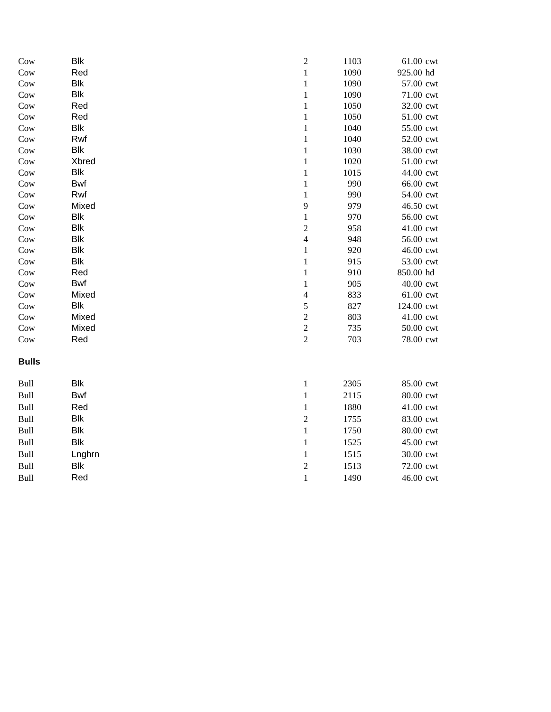| Cow          | <b>Blk</b> | $\sqrt{2}$     | 1103 | 61.00 cwt  |
|--------------|------------|----------------|------|------------|
| Cow          | Red        | $\,1\,$        | 1090 | 925.00 hd  |
| Cow          | <b>Blk</b> | $\,1$          | 1090 | 57.00 cwt  |
| Cow          | <b>Blk</b> | $\,1\,$        | 1090 | 71.00 cwt  |
| Cow          | Red        | $\,1\,$        | 1050 | 32.00 cwt  |
| Cow          | Red        | $\mathbf{1}$   | 1050 | 51.00 cwt  |
| Cow          | <b>Blk</b> | $\,1\,$        | 1040 | 55.00 cwt  |
| Cow          | Rwf        | $\,1\,$        | 1040 | 52.00 cwt  |
| Cow          | <b>Blk</b> | $\mathbf{1}$   | 1030 | 38.00 cwt  |
| Cow          | Xbred      | $\,1$          | 1020 | 51.00 cwt  |
| Cow          | Blk        | $\,1\,$        | 1015 | 44.00 cwt  |
| Cow          | <b>Bwf</b> | $\mathbf{1}$   | 990  | 66.00 cwt  |
| Cow          | Rwf        | $\mathbf{1}$   | 990  | 54.00 cwt  |
| Cow          | Mixed      | 9              | 979  | 46.50 cwt  |
| Cow          | <b>Blk</b> | $\,1$          | 970  | 56.00 cwt  |
| Cow          | <b>Blk</b> | $\overline{c}$ | 958  | 41.00 cwt  |
| Cow          | <b>Blk</b> | $\overline{4}$ | 948  | 56.00 cwt  |
| Cow          | <b>Blk</b> | $\,1\,$        | 920  | 46.00 cwt  |
| Cow          | <b>Blk</b> | $\,1\,$        | 915  | 53.00 cwt  |
| Cow          | Red        | $\,1\,$        | 910  | 850.00 hd  |
| Cow          | Bwf        | $\,1\,$        | 905  | 40.00 cwt  |
| Cow          | Mixed      | $\overline{4}$ | 833  | 61.00 cwt  |
| Cow          | <b>Blk</b> | 5              | 827  | 124.00 cwt |
| Cow          | Mixed      | $\overline{c}$ | 803  | 41.00 cwt  |
| Cow          | Mixed      | $\overline{c}$ | 735  | 50.00 cwt  |
| Cow          | Red        | $\overline{c}$ | 703  | 78.00 cwt  |
| <b>Bulls</b> |            |                |      |            |
| Bull         | <b>Blk</b> | $\mathbf{1}$   | 2305 | 85.00 cwt  |
| Bull         | <b>Bwf</b> | $\,1\,$        | 2115 | 80.00 cwt  |
| Bull         | Red        | $\mathbf{1}$   | 1880 | 41.00 cwt  |
| Bull         | <b>Blk</b> | $\sqrt{2}$     | 1755 | 83.00 cwt  |
| Bull         | <b>Blk</b> | $\,1\,$        | 1750 | 80.00 cwt  |
| Bull         | <b>Blk</b> | $\,1\,$        | 1525 | 45.00 cwt  |
| Bull         | Lnghrn     | $\,1\,$        | 1515 | 30.00 cwt  |
| Bull         | <b>Blk</b> | $\overline{c}$ | 1513 | 72.00 cwt  |
| Bull         | Red        | $\mathbf 1$    | 1490 | 46.00 cwt  |
|              |            |                |      |            |